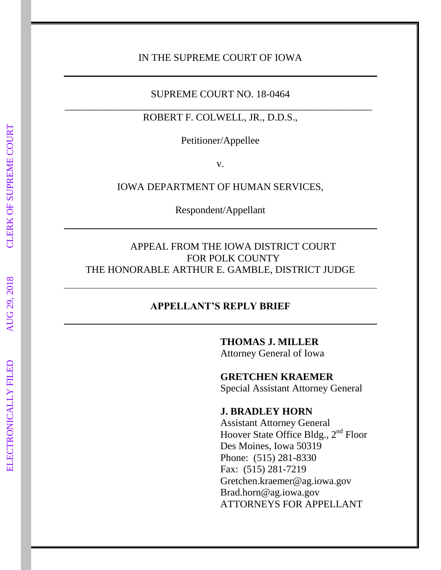### IN THE SUPREME COURT OF IOWA

### SUPREME COURT NO. 18-0464 \_\_\_\_\_\_\_\_\_\_\_\_\_\_\_\_\_\_\_\_\_\_\_\_\_\_\_\_\_\_\_\_\_\_\_\_\_\_\_\_\_\_\_\_\_\_\_\_\_\_\_\_\_\_\_\_\_\_\_\_\_

### ROBERT F. COLWELL, JR., D.D.S.,

Petitioner/Appellee

v.

IOWA DEPARTMENT OF HUMAN SERVICES,

Respondent/Appellant

## APPEAL FROM THE IOWA DISTRICT COURT FOR POLK COUNTY THE HONORABLE ARTHUR E. GAMBLE, DISTRICT JUDGE

## **APPELLANT'S REPLY BRIEF**

**THOMAS J. MILLER** Attorney General of Iowa

**GRETCHEN KRAEMER** Special Assistant Attorney General

### **J. BRADLEY HORN**

Assistant Attorney General Hoover State Office Bldg., 2<sup>nd</sup> Floor Des Moines, Iowa 50319 Phone: (515) 281-8330 Fax: (515) 281-7219 Gretchen.kraemer@ag.iowa.gov Brad.horn@ag.iowa.gov ATTORNEYS FOR APPELLANT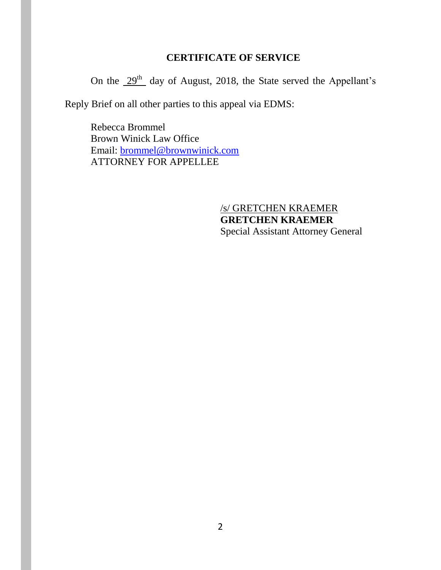## **CERTIFICATE OF SERVICE**

On the  $29<sup>th</sup>$  day of August, 2018, the State served the Appellant's

Reply Brief on all other parties to this appeal via EDMS:

Rebecca Brommel Brown Winick Law Office Email: [brommel@brownwinick.com](mailto:brommel@brownwinick.com) ATTORNEY FOR APPELLEE

> /s/ GRETCHEN KRAEMER **GRETCHEN KRAEMER** Special Assistant Attorney General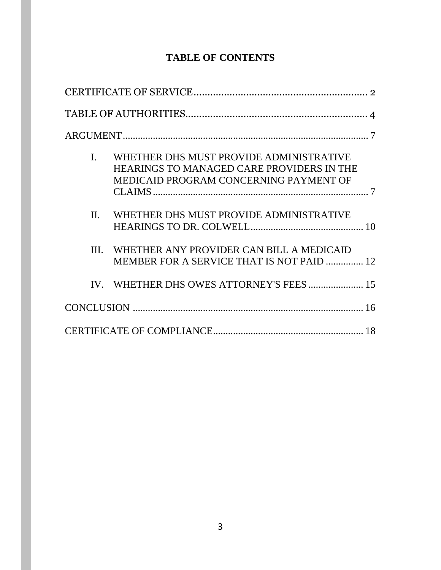## **TABLE OF CONTENTS**

| L.      | WHETHER DHS MUST PROVIDE ADMINISTRATIVE<br><b>HEARINGS TO MANAGED CARE PROVIDERS IN THE</b><br>MEDICAID PROGRAM CONCERNING PAYMENT OF |
|---------|---------------------------------------------------------------------------------------------------------------------------------------|
| $\Pi$ . | WHETHER DHS MUST PROVIDE ADMINISTRATIVE                                                                                               |
| III.    | WHETHER ANY PROVIDER CAN BILL A MEDICAID<br>MEMBER FOR A SERVICE THAT IS NOT PAID  12                                                 |
|         | IV. WHETHER DHS OWES ATTORNEY'S FEES 15                                                                                               |
|         |                                                                                                                                       |
|         |                                                                                                                                       |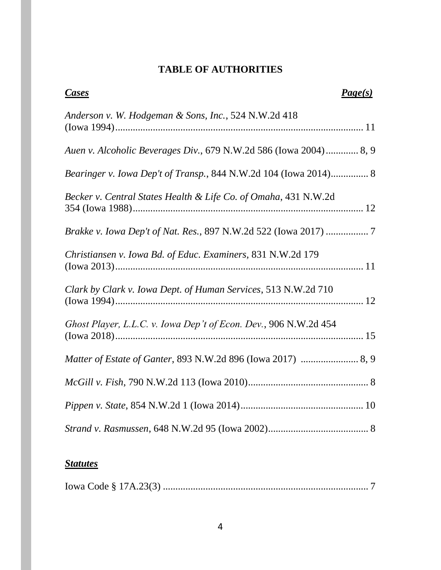## **TABLE OF AUTHORITIES**

<span id="page-3-0"></span>

| <b>Cases</b>                                                      | Page(s) |
|-------------------------------------------------------------------|---------|
| Anderson v. W. Hodgeman & Sons, Inc., 524 N.W.2d 418              |         |
| Auen v. Alcoholic Beverages Div., 679 N.W.2d 586 (Iowa 2004) 8, 9 |         |
| Bearinger v. Iowa Dep't of Transp., 844 N.W.2d 104 (Iowa 2014) 8  |         |
| Becker v. Central States Health & Life Co. of Omaha, 431 N.W.2d   |         |
| Brakke v. Iowa Dep't of Nat. Res., 897 N.W.2d 522 (Iowa 2017) 7   |         |
| Christiansen v. Iowa Bd. of Educ. Examiners, 831 N.W.2d 179       |         |
| Clark by Clark v. Iowa Dept. of Human Services, 513 N.W.2d 710    |         |
| Ghost Player, L.L.C. v. Iowa Dep't of Econ. Dev., 906 N.W.2d 454  |         |
|                                                                   |         |
|                                                                   |         |
|                                                                   |         |
|                                                                   |         |

# *Statutes*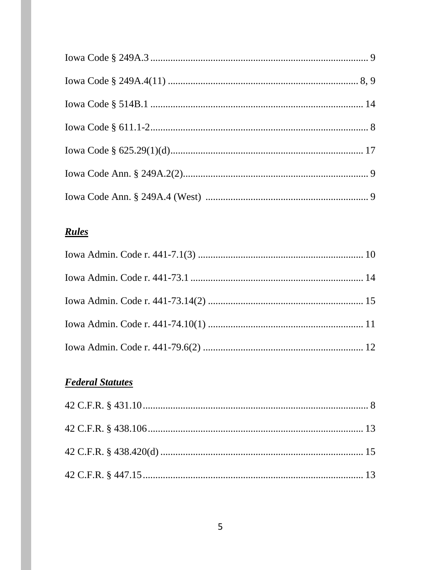# Rules

# **Federal Statutes**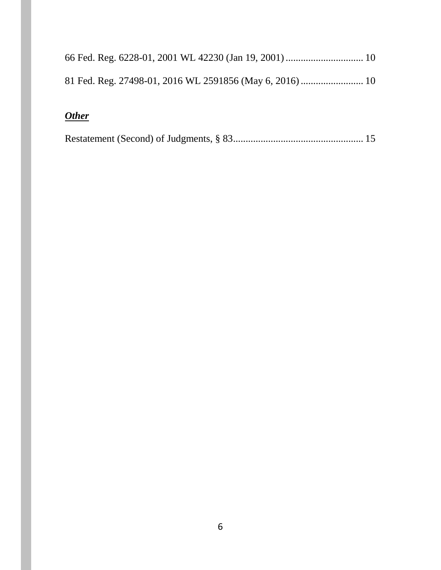# *Other*

|--|--|--|--|--|--|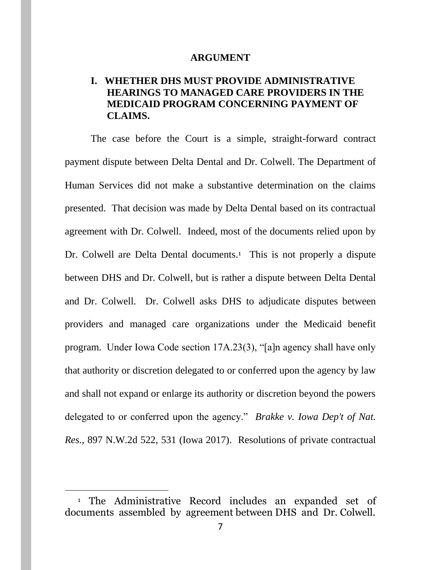#### **ARGUMENT**

## **I. WHETHER DHS MUST PROVIDE ADMINISTRATIVE HEARINGS TO MANAGED CARE PROVIDERS IN THE MEDICAID PROGRAM CONCERNING PAYMENT OF CLAIMS.**

The case before the Court is a simple, straight-forward contract payment dispute between Delta Dental and Dr. Colwell. The Department of Human Services did not make a substantive determination on the claims presented. That decision was made by Delta Dental based on its contractual agreement with Dr. Colwell. Indeed, most of the documents relied upon by Dr. Colwell are Delta Dental documents.<sup>1</sup> This is not properly a dispute between DHS and Dr. Colwell, but is rather a dispute between Delta Dental and Dr. Colwell. Dr. Colwell asks DHS to adjudicate disputes between providers and managed care organizations under the Medicaid benefit program. Under Iowa Code section 17A.23(3), "[a]n agency shall have only that authority or discretion delegated to or conferred upon the agency by law and shall not expand or enlarge its authority or discretion beyond the powers delegated to or conferred upon the agency." *Brakke v. Iowa Dep't of Nat. Res.*, 897 N.W.2d 522, 531 (Iowa 2017). Resolutions of private contractual

 $\overline{a}$ 

<sup>1</sup> The Administrative Record includes an expanded set of documents assembled by agreement between DHS and Dr. Colwell.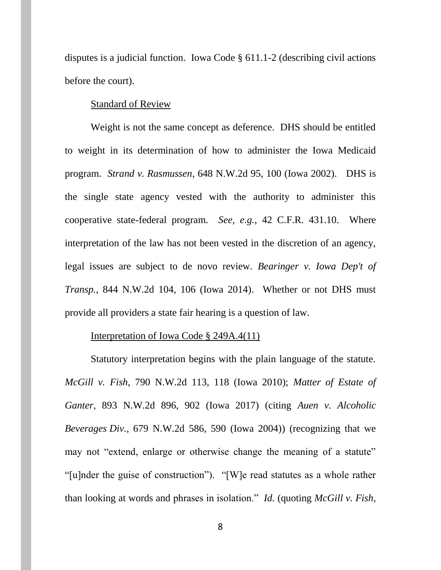disputes is a judicial function. Iowa Code § 611.1-2 (describing civil actions before the court).

### Standard of Review

Weight is not the same concept as deference. DHS should be entitled to weight in its determination of how to administer the Iowa Medicaid program. *Strand v. Rasmussen*, 648 N.W.2d 95, 100 (Iowa 2002). DHS is the single state agency vested with the authority to administer this cooperative state-federal program. *See, e.g.*, 42 C.F.R. 431.10. Where interpretation of the law has not been vested in the discretion of an agency, legal issues are subject to de novo review. *Bearinger v. Iowa Dep't of Transp.*, 844 N.W.2d 104, 106 (Iowa 2014). Whether or not DHS must provide all providers a state fair hearing is a question of law.

### Interpretation of Iowa Code § 249A.4(11)

Statutory interpretation begins with the plain language of the statute. *McGill v. Fish*, 790 N.W.2d 113, 118 (Iowa 2010); *Matter of Estate of Ganter*, 893 N.W.2d 896, 902 (Iowa 2017) (citing *Auen v. Alcoholic Beverages Div.*, 679 N.W.2d 586, 590 (Iowa 2004)) (recognizing that we may not "extend, enlarge or otherwise change the meaning of a statute" "[u]nder the guise of construction"). "[W]e read statutes as a whole rather than looking at words and phrases in isolation." *Id.* (quoting *McGill v. Fish,*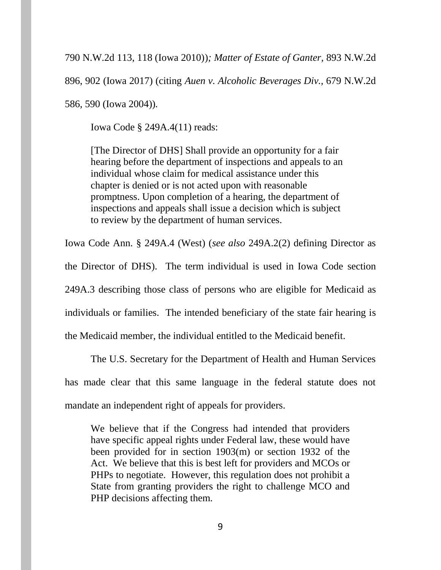790 N.W.2d 113, 118 (Iowa 2010))*; Matter of Estate of Ganter,* 893 N.W.2d

896, 902 (Iowa 2017) (citing *Auen v. Alcoholic Beverages Div.,* 679 N.W.2d

586, 590 (Iowa 2004))*.* 

Iowa Code § 249A.4(11) reads:

[The Director of DHS] Shall provide an opportunity for a fair hearing before the department of inspections and appeals to an individual whose claim for medical assistance under this chapter is denied or is not acted upon with reasonable promptness. Upon completion of a hearing, the department of inspections and appeals shall issue a decision which is subject to review by the department of human services.

Iowa Code Ann. § 249A.4 (West) (*see also* 249A.2(2) defining Director as the Director of DHS). The term individual is used in Iowa Code section 249A.3 describing those class of persons who are eligible for Medicaid as individuals or families. The intended beneficiary of the state fair hearing is the Medicaid member, the individual entitled to the Medicaid benefit.

The U.S. Secretary for the Department of Health and Human Services has made clear that this same language in the federal statute does not mandate an independent right of appeals for providers.

We believe that if the Congress had intended that providers have specific appeal rights under Federal law, these would have been provided for in section 1903(m) or section 1932 of the Act. We believe that this is best left for providers and MCOs or PHPs to negotiate. However, this regulation does not prohibit a State from granting providers the right to challenge MCO and PHP decisions affecting them.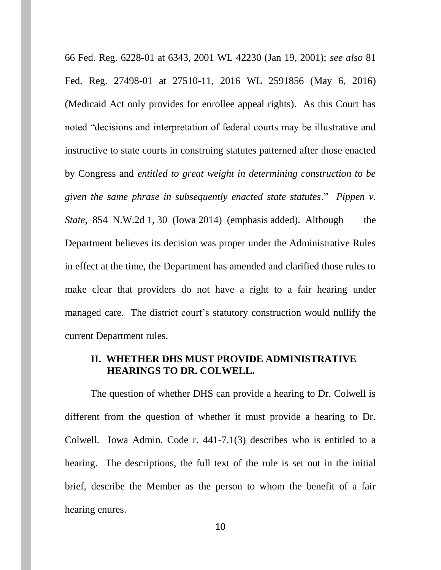66 Fed. Reg. 6228-01 at 6343, 2001 WL 42230 (Jan 19, 2001); *see also* 81 Fed. Reg. 27498-01 at 27510-11, 2016 WL 2591856 (May 6, 2016) (Medicaid Act only provides for enrollee appeal rights). As this Court has noted "decisions and interpretation of federal courts may be illustrative and instructive to state courts in construing statutes patterned after those enacted by Congress and *entitled to great weight in determining construction to be given the same phrase in subsequently enacted state statutes*." *Pippen v. State*, 854 N.W.2d 1, 30 (Iowa 2014) (emphasis added). Although the Department believes its decision was proper under the Administrative Rules in effect at the time, the Department has amended and clarified those rules to make clear that providers do not have a right to a fair hearing under managed care. The district court's statutory construction would nullify the current Department rules.

## **II. WHETHER DHS MUST PROVIDE ADMINISTRATIVE HEARINGS TO DR. COLWELL.**

The question of whether DHS can provide a hearing to Dr. Colwell is different from the question of whether it must provide a hearing to Dr. Colwell. Iowa Admin. Code r. 441-7.1(3) describes who is entitled to a hearing. The descriptions, the full text of the rule is set out in the initial brief, describe the Member as the person to whom the benefit of a fair hearing enures.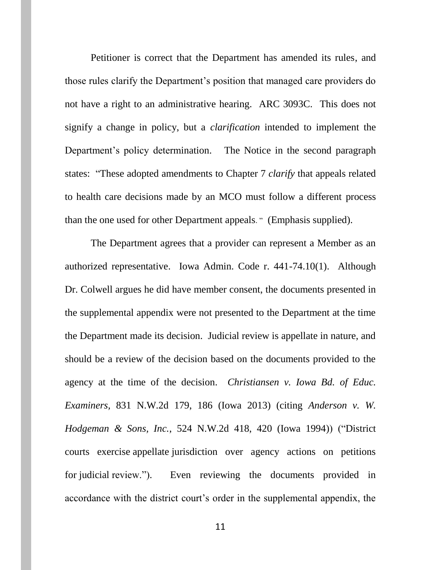Petitioner is correct that the Department has amended its rules, and those rules clarify the Department's position that managed care providers do not have a right to an administrative hearing. ARC 3093C. This does not signify a change in policy, but a *clarification* intended to implement the Department's policy determination. The Notice in the second paragraph states: "These adopted amendments to Chapter 7 *clarify* that appeals related to health care decisions made by an MCO must follow a different process than the one used for other Department appeals." (Emphasis supplied).

The Department agrees that a provider can represent a Member as an authorized representative. Iowa Admin. Code r. 441-74.10(1). Although Dr. Colwell argues he did have member consent, the documents presented in the supplemental appendix were not presented to the Department at the time the Department made its decision. Judicial review is appellate in nature, and should be a review of the decision based on the documents provided to the agency at the time of the decision. *Christiansen v. Iowa Bd. of Educ. Examiners,* 831 N.W.2d 179, 186 (Iowa 2013) (citing *Anderson v. W. Hodgeman & Sons, Inc.*, 524 N.W.2d 418, 420 (Iowa 1994)) ("District courts exercise appellate jurisdiction over agency actions on petitions for judicial review."). Even reviewing the documents provided in accordance with the district court's order in the supplemental appendix, the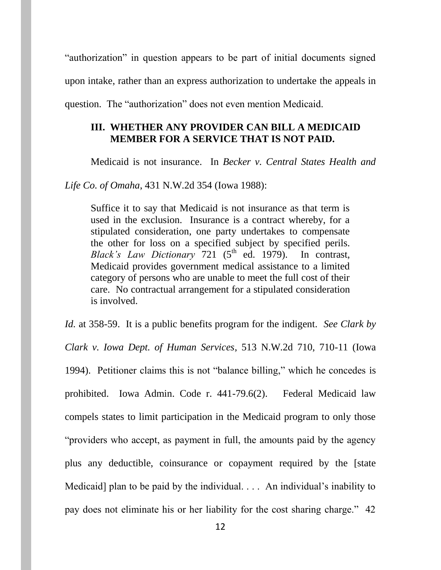"authorization" in question appears to be part of initial documents signed upon intake, rather than an express authorization to undertake the appeals in question. The "authorization" does not even mention Medicaid.

## **III. WHETHER ANY PROVIDER CAN BILL A MEDICAID MEMBER FOR A SERVICE THAT IS NOT PAID.**

Medicaid is not insurance. In *Becker v. Central States Health and* 

*Life Co. of Omaha*, 431 N.W.2d 354 (Iowa 1988):

Suffice it to say that Medicaid is not insurance as that term is used in the exclusion. Insurance is a contract whereby, for a stipulated consideration, one party undertakes to compensate the other for loss on a specified subject by specified perils. *Black's Law Dictionary* 721 (5<sup>th</sup> ed. 1979). In contrast, Medicaid provides government medical assistance to a limited category of persons who are unable to meet the full cost of their care. No contractual arrangement for a stipulated consideration is involved.

*Id.* at 358-59. It is a public benefits program for the indigent. *See Clark by Clark v. Iowa Dept. of Human Services*, 513 N.W.2d 710, 710-11 (Iowa 1994). Petitioner claims this is not "balance billing," which he concedes is prohibited. Iowa Admin. Code r. 441-79.6(2). Federal Medicaid law compels states to limit participation in the Medicaid program to only those "providers who accept, as payment in full, the amounts paid by the agency plus any deductible, coinsurance or copayment required by the [state Medicaid] plan to be paid by the individual. . . . An individual's inability to pay does not eliminate his or her liability for the cost sharing charge." 42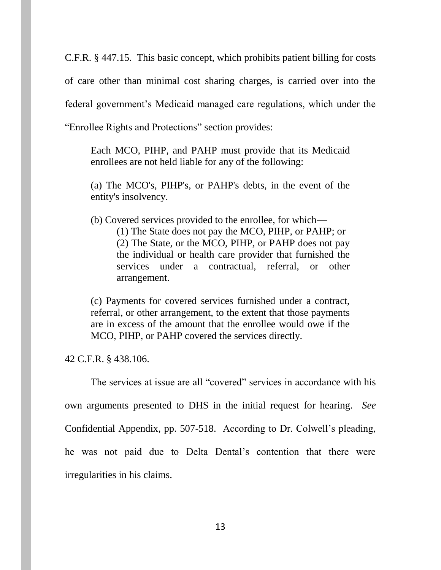C.F.R. § 447.15. This basic concept, which prohibits patient billing for costs of care other than minimal cost sharing charges, is carried over into the federal government's Medicaid managed care regulations, which under the "Enrollee Rights and Protections" section provides:

Each MCO, PIHP, and PAHP must provide that its Medicaid enrollees are not held liable for any of the following:

(a) The MCO's, PIHP's, or PAHP's debts, in the event of the entity's insolvency.

(b) Covered services provided to the enrollee, for which—

(1) The State does not pay the MCO, PIHP, or PAHP; or (2) The State, or the MCO, PIHP, or PAHP does not pay the individual or health care provider that furnished the services under a contractual, referral, or other arrangement.

(c) Payments for covered services furnished under a contract, referral, or other arrangement, to the extent that those payments are in excess of the amount that the enrollee would owe if the MCO, PIHP, or PAHP covered the services directly.

42 C.F.R. § 438.106.

The services at issue are all "covered" services in accordance with his own arguments presented to DHS in the initial request for hearing. *See*  Confidential Appendix, pp. 507-518. According to Dr. Colwell's pleading, he was not paid due to Delta Dental's contention that there were irregularities in his claims.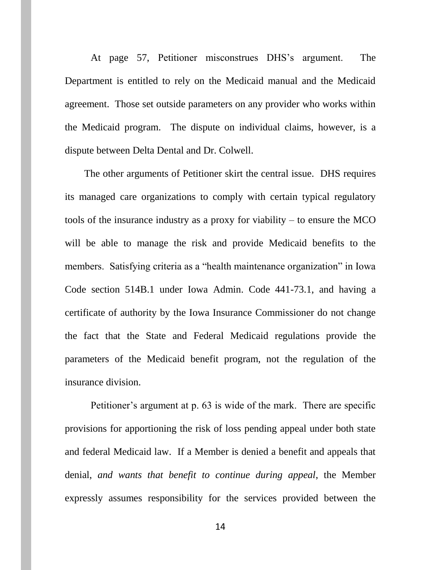At page 57, Petitioner misconstrues DHS's argument. The Department is entitled to rely on the Medicaid manual and the Medicaid agreement. Those set outside parameters on any provider who works within the Medicaid program. The dispute on individual claims, however, is a dispute between Delta Dental and Dr. Colwell.

The other arguments of Petitioner skirt the central issue. DHS requires its managed care organizations to comply with certain typical regulatory tools of the insurance industry as a proxy for viability – to ensure the MCO will be able to manage the risk and provide Medicaid benefits to the members. Satisfying criteria as a "health maintenance organization" in Iowa Code section 514B.1 under Iowa Admin. Code 441-73.1, and having a certificate of authority by the Iowa Insurance Commissioner do not change the fact that the State and Federal Medicaid regulations provide the parameters of the Medicaid benefit program, not the regulation of the insurance division.

Petitioner's argument at p. 63 is wide of the mark. There are specific provisions for apportioning the risk of loss pending appeal under both state and federal Medicaid law. If a Member is denied a benefit and appeals that denial, *and wants that benefit to continue during appeal*, the Member expressly assumes responsibility for the services provided between the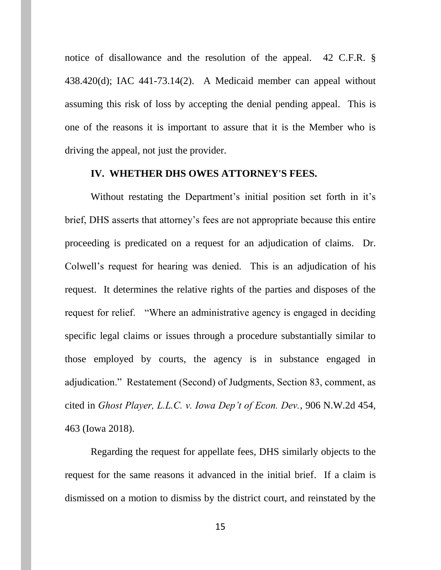notice of disallowance and the resolution of the appeal. 42 C.F.R. § 438.420(d); IAC 441-73.14(2). A Medicaid member can appeal without assuming this risk of loss by accepting the denial pending appeal. This is one of the reasons it is important to assure that it is the Member who is driving the appeal, not just the provider.

#### **IV. WHETHER DHS OWES ATTORNEY'S FEES.**

Without restating the Department's initial position set forth in it's brief, DHS asserts that attorney's fees are not appropriate because this entire proceeding is predicated on a request for an adjudication of claims. Dr. Colwell's request for hearing was denied. This is an adjudication of his request. It determines the relative rights of the parties and disposes of the request for relief. "Where an administrative agency is engaged in deciding specific legal claims or issues through a procedure substantially similar to those employed by courts, the agency is in substance engaged in adjudication." Restatement (Second) of Judgments, Section 83, comment, as cited in *Ghost Player, L.L.C. v. Iowa Dep't of Econ. Dev.*, 906 N.W.2d 454, 463 (Iowa 2018).

Regarding the request for appellate fees, DHS similarly objects to the request for the same reasons it advanced in the initial brief. If a claim is dismissed on a motion to dismiss by the district court, and reinstated by the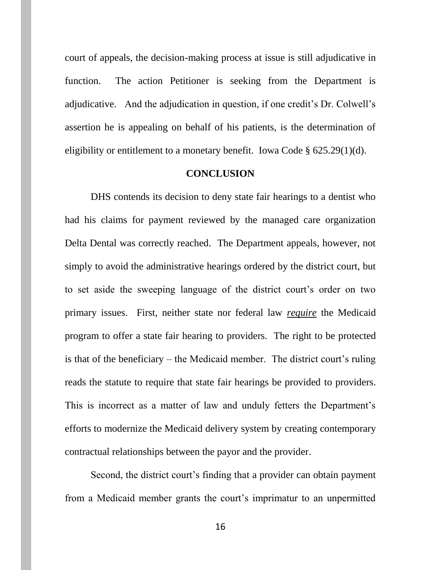court of appeals, the decision-making process at issue is still adjudicative in function. The action Petitioner is seeking from the Department is adjudicative. And the adjudication in question, if one credit's Dr. Colwell's assertion he is appealing on behalf of his patients, is the determination of eligibility or entitlement to a monetary benefit. Iowa Code  $\S$  625.29(1)(d).

### **CONCLUSION**

DHS contends its decision to deny state fair hearings to a dentist who had his claims for payment reviewed by the managed care organization Delta Dental was correctly reached. The Department appeals, however, not simply to avoid the administrative hearings ordered by the district court, but to set aside the sweeping language of the district court's order on two primary issues. First, neither state nor federal law *require* the Medicaid program to offer a state fair hearing to providers. The right to be protected is that of the beneficiary – the Medicaid member. The district court's ruling reads the statute to require that state fair hearings be provided to providers. This is incorrect as a matter of law and unduly fetters the Department's efforts to modernize the Medicaid delivery system by creating contemporary contractual relationships between the payor and the provider.

Second, the district court's finding that a provider can obtain payment from a Medicaid member grants the court's imprimatur to an unpermitted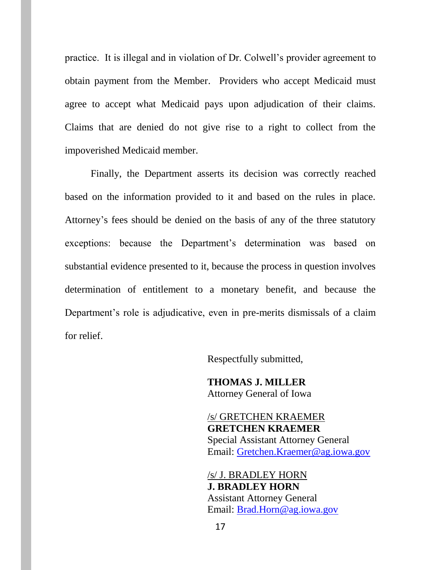practice. It is illegal and in violation of Dr. Colwell's provider agreement to obtain payment from the Member. Providers who accept Medicaid must agree to accept what Medicaid pays upon adjudication of their claims. Claims that are denied do not give rise to a right to collect from the impoverished Medicaid member.

Finally, the Department asserts its decision was correctly reached based on the information provided to it and based on the rules in place. Attorney's fees should be denied on the basis of any of the three statutory exceptions: because the Department's determination was based on substantial evidence presented to it, because the process in question involves determination of entitlement to a monetary benefit, and because the Department's role is adjudicative, even in pre-merits dismissals of a claim for relief.

Respectfully submitted,

**THOMAS J. MILLER** Attorney General of Iowa

/s/ GRETCHEN KRAEMER **GRETCHEN KRAEMER** Special Assistant Attorney General Email: [Gretchen.Kraemer@ag.iowa.gov](mailto:Gretchen.Kraemer@ag.iowa.gov)

/s/ J. BRADLEY HORN **J. BRADLEY HORN** Assistant Attorney General Email: [Brad.Horn@ag.iowa.gov](mailto:Brad.Horn@ag.iowa.gov)